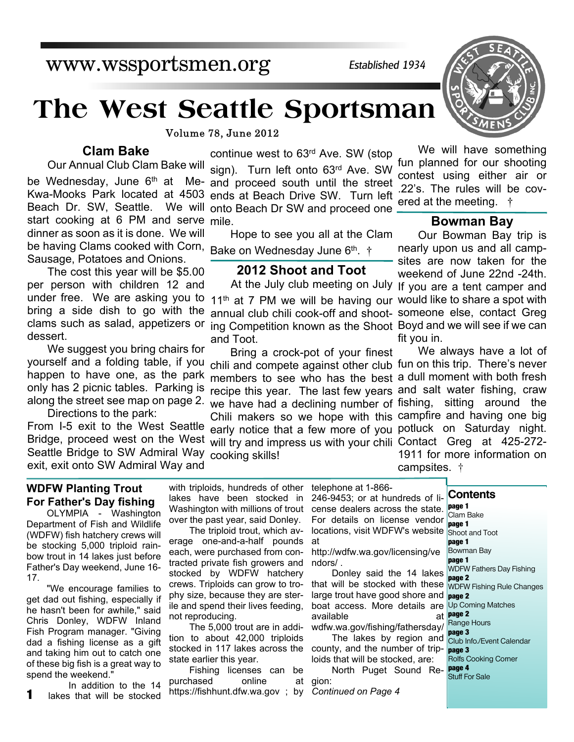# **The West Seattle Sportsman**

Volume 78, June 2012

#### **Clam Bake**

start cooking at 6 PM and serve mile. be having Clams cooked with Corn, Bake on Wednesday June 6<sup>th</sup>. † Our Annual Club Clam Bake will dinner as soon as it is done. We will Sausage, Potatoes and Onions.

The cost this year will be \$5.00 per person with children 12 and bring a side dish to go with the clams such as salad, appetizers or dessert.

We suggest you bring chairs for yourself and a folding table, if you happen to have one, as the park only has 2 picnic tables. Parking is along the street see map on page 2.

Seattle Bridge to SW Admiral Way cooking skills! Directions to the park: exit, exit onto SW Admiral Way and

#### **WDFW Planting Trout For Father's Day fishing**

OLYMPIA - Washington Department of Fish and Wildlife (WDFW) fish hatchery crews will be stocking 5,000 triploid rainbow trout in 14 lakes just before Father's Day weekend, June 16- 17.

"We encourage families to get dad out fishing, especially if he hasn't been for awhile," said Chris Donley, WDFW Inland Fish Program manager. "Giving dad a fishing license as a gift and taking him out to catch one of these big fish is a great way to spend the weekend."

In addition to the 14 lakes that will be stocked **1** lakes that will be stocked https://fishhunt.dfw.wa.gov; by Continued on Page 4

continue west to 63rd Ave. SW (stop sign). Turn left onto 63rd Ave. SW be Wednesday, June 6<sup>th</sup> at Me- and proceed south until the street Kwa-Mooks Park located at 4503 ends at Beach Drive SW. Turn left Beach Dr. SW, Seattle. We will onto Beach Dr SW and proceed one

Hope to see you all at the Clam

#### **2012 Shoot and Toot**

under free. We are asking you to 11<sup>th</sup> at 7 PM we will be having our would like to share a spot with annual club chili cook-off and shoot-someone else, contact Greg ing Competition known as the Shoot Boyd and we will see if we can and Toot.

Bring a crock-pot of your finest chili and compete against other club fun on this trip. There's never members to see who has the best a dull moment with both fresh recipe this year. The last few years and salt water fishing, craw we have had a declining number of fishing, sitting around the Chili makers so we hope with this campfire and having one big From I-5 exit to the West Seattle early notice that a few more of you potluck on Saturday night. Bridge, proceed west on the West will try and impress us with your chili Contact Greg at 425-272-

We will have something fun planned for our shooting contest using either air or .22's. The rules will be covered at the meeting. †

#### **Bowman Bay**

At the July club meeting on July If you are a tent camper and Our Bowman Bay trip is nearly upon us and all campsites are now taken for the weekend of June 22nd -24th. fit you in.

We always have a lot of 1911 for more information on campsites. †

with triploids, hundreds of other lakes have been stocked in Washington with millions of trout over the past year, said Donley.

The triploid trout, which average one-and-a-half pounds each, were purchased from contracted private fish growers and stocked by WDFW hatchery crews. Triploids can grow to trophy size, because they are sterile and spend their lives feeding, not reproducing.

The 5,000 trout are in addition to about 42,000 triploids stocked in 117 lakes across the county, and the number of tripstate earlier this year.

Fishing licenses can be purchased online at gion:

telephone at 1-866- 246-9453; or at hundreds of license dealers across the state. For details on license vendor locations, visit WDFW's website Shoot and Toot at

*Established 1934*

http://wdfw.wa.gov/licensing/ve ndors/ .

Donley said the 14 lakes that will be stocked with these WDFW Fishing Rule Changes large trout have good shore and **page 2** boat access. More details are Up Coming Matches available wdfw.wa.gov/fishing/fathersday/

The lakes by region and Club Info./Event Calendar

loids that will be stocked, are: North Puget Sound Re-**page 4**





# www.wssportsmen.org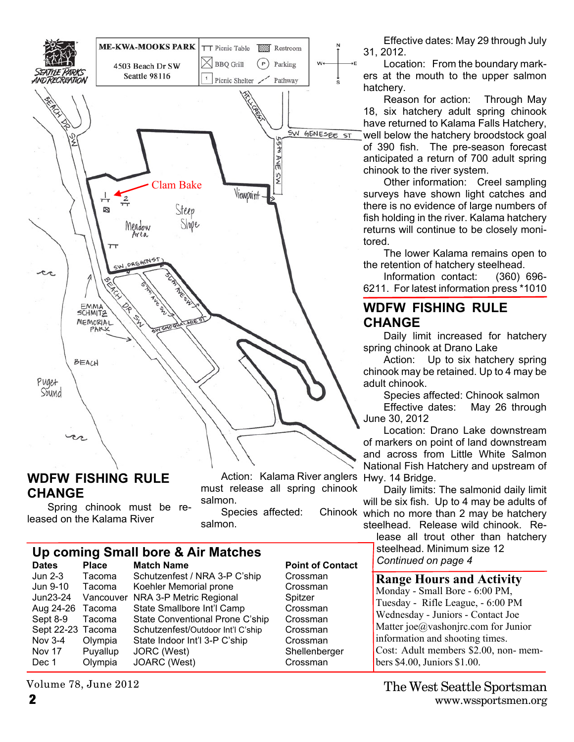

#### **WDFW FISHING RULE CHANGE**

Spring chinook must be released on the Kalama River

Action: Kalama River anglers Hwy. 14 Bridge. must release all spring chinook salmon.

**Point of Contact** 

Crossman Crossman

Crossman Crossman Crossman Crossman Shellenberger Crossman

Species affected: salmon.

# **Up coming Small bore & Air Matches**

| Dates             | <b>Piace</b> | <b>Match Name</b>                 | POINT ( |
|-------------------|--------------|-----------------------------------|---------|
| Jun 2-3           | Tacoma       | Schutzenfest / NRA 3-P C'ship     | Crossn  |
| Jun 9-10          | Tacoma       | Koehler Memorial prone            | Crossn  |
| Jun23-24          | Vancouver    | NRA 3-P Metric Regional           | Spitzer |
| Aug 24-26 Tacoma  |              | State Smallbore Int'l Camp        | Crossn  |
| Sept 8-9          | Tacoma       | State Conventional Prone C'ship   | Crossn  |
| Sept 22-23 Tacoma |              | Schutzenfest/Outdoor Int'l C'ship | Crossn  |
| Nov 3-4           | Olympia      | State Indoor Int'l 3-P C'ship     | Crossn  |
| Nov 17            | Puyallup     | JORC (West)                       | Sheller |
| Dec 1             | Olympia      | JOARC (West)                      | Crossn  |
|                   |              |                                   |         |

Volume 78, June 2012

Effective dates: May 29 through July 31, 2012.

Location: From the boundary markers at the mouth to the upper salmon hatchery.

Reason for action: Through May 18, six hatchery adult spring chinook have returned to Kalama Falls Hatchery, well below the hatchery broodstock goal of 390 fish. The pre-season forecast anticipated a return of 700 adult spring chinook to the river system.

Other information: Creel sampling surveys have shown light catches and there is no evidence of large numbers of fish holding in the river. Kalama hatchery returns will continue to be closely monitored.

The lower Kalama remains open to the retention of hatchery steelhead.

Information contact: (360) 696- 6211. For latest information press \*1010

### **WDFW FISHING RULE CHANGE**

Daily limit increased for hatchery spring chinook at Drano Lake

Action: Up to six hatchery spring chinook may be retained. Up to 4 may be adult chinook.

Species affected: Chinook salmon

Effective dates: May 26 through June 30, 2012

Location: Drano Lake downstream of markers on point of land downstream and across from Little White Salmon National Fish Hatchery and upstream of

Daily limits: The salmonid daily limit will be six fish. Up to 4 may be adults of Chinook which no more than 2 may be hatchery steelhead. Release wild chinook. Re-

lease all trout other than hatchery steelhead. Minimum size 12 *Continued on page 4*

#### **Range Hours and Activity**

Monday - Small Bore - 6:00 PM, Tuesday - Rifle League, - 6:00 PM Wednesday - Juniors - Contact Joe Matter joe@vashonjrc.com for Junior information and shooting times. Cost: Adult members \$2.00, non- members \$4.00, Juniors \$1.00.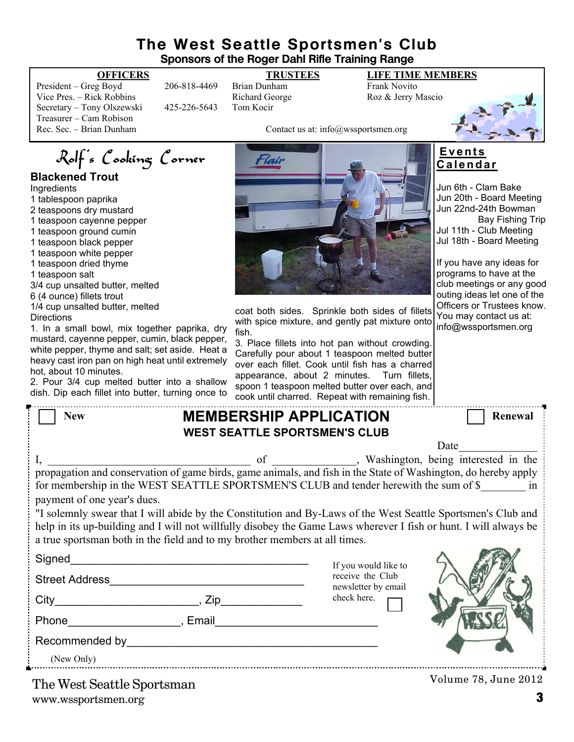#### **The West Seattle Sportsmen's Club Sponsors of the Roger Dahl Rifle Training Range**

President – Greg Boyd 206-818-4469 Brian Dunham Frank Novito Vice Pres. – Rick Robbins **Richard George** Roz & Jerry Mascio Secretary – Tony Olszewski 425-226-5643 Tom Kocir Treasurer – Cam Robison<br>Rec. Sec. – Brian Dunham

# **OFFICERS TRUSTEES LIFE TIME MEMBERS**

Contact us at: info@wssportsmen.org



#### **Blackened Trout**

**Ingredients** 

- 1 tablespoon paprika
- 2 teaspoons dry mustard
- 1 teaspoon cayenne pepper
- 1 teaspoon ground cumin
- 1 teaspoon black pepper
- 1 teaspoon white pepper
- 1 teaspoon dried thyme
- 1 teaspoon salt
- 3/4 cup unsalted butter, melted
- 6 (4 ounce) fillets trout
- 1/4 cup unsalted butter, melted **Directions**

1. In a small bowl, mix together paprika, dry mustard, cayenne pepper, cumin, black pepper, white pepper, thyme and salt; set aside. Heat a heavy cast iron pan on high heat until extremely hot, about 10 minutes.

2. Pour 3/4 cup melted butter into a shallow dish. Dip each fillet into butter, turning once to



coat both sides. Sprinkle both sides of fillets with spice mixture, and gently pat mixture onto fish.

3. Place fillets into hot pan without crowding. Carefully pour about 1 teaspoon melted butter over each fillet. Cook until fish has a charred appearance, about 2 minutes. Turn fillets, spoon 1 teaspoon melted butter over each, and cook until charred. Repeat with remaining fish.

#### **E v e n t s C a l e n d a r**

Jun 6th - Clam Bake Jun 20th - Board Meeting Jun 22nd-24th Bowman Bay Fishing Trip Jul 11th - Club Meeting Jul 18th - Board Meeting

If you have any ideas for programs to have at the club meetings or any good outing ideas let one of the Officers or Trustees know. You may contact us at: info@wssportsmen.org

| <b>New</b>                                                                                                        | <b>MEMBERSHIP APPLICATION</b> | <b>WEST SEATTLE SPORTSMEN'S CLUB</b> |                      | Renewal              |  |  |
|-------------------------------------------------------------------------------------------------------------------|-------------------------------|--------------------------------------|----------------------|----------------------|--|--|
|                                                                                                                   |                               |                                      |                      |                      |  |  |
|                                                                                                                   |                               |                                      |                      | Date                 |  |  |
| I, propagation and conservation of game birds, game animals, and fish in the State of Washington, do hereby apply |                               |                                      |                      |                      |  |  |
|                                                                                                                   |                               |                                      |                      |                      |  |  |
| for membership in the WEST SEATTLE SPORTSMEN'S CLUB and tender herewith the sum of \$ in                          |                               |                                      |                      |                      |  |  |
| payment of one year's dues.                                                                                       |                               |                                      |                      |                      |  |  |
| "I solemnly swear that I will abide by the Constitution and By-Laws of the West Seattle Sportsmen's Club and      |                               |                                      |                      |                      |  |  |
| help in its up-building and I will not willfully disobey the Game Laws wherever I fish or hunt. I will always be  |                               |                                      |                      |                      |  |  |
| a true sportsman both in the field and to my brother members at all times.                                        |                               |                                      |                      |                      |  |  |
|                                                                                                                   |                               |                                      |                      |                      |  |  |
|                                                                                                                   |                               |                                      | If you would like to |                      |  |  |
|                                                                                                                   |                               | receive the Club                     |                      |                      |  |  |
|                                                                                                                   |                               | newsletter by email                  |                      |                      |  |  |
|                                                                                                                   |                               |                                      | check here.          |                      |  |  |
|                                                                                                                   |                               |                                      |                      |                      |  |  |
|                                                                                                                   |                               |                                      |                      |                      |  |  |
|                                                                                                                   |                               |                                      |                      |                      |  |  |
|                                                                                                                   |                               |                                      |                      |                      |  |  |
| (New Only)                                                                                                        |                               |                                      |                      |                      |  |  |
| The West Seattle Sportsman                                                                                        |                               |                                      |                      | Volume 78, June 2012 |  |  |

www.wssportsmen.org **3** The West Seattle Sportsman